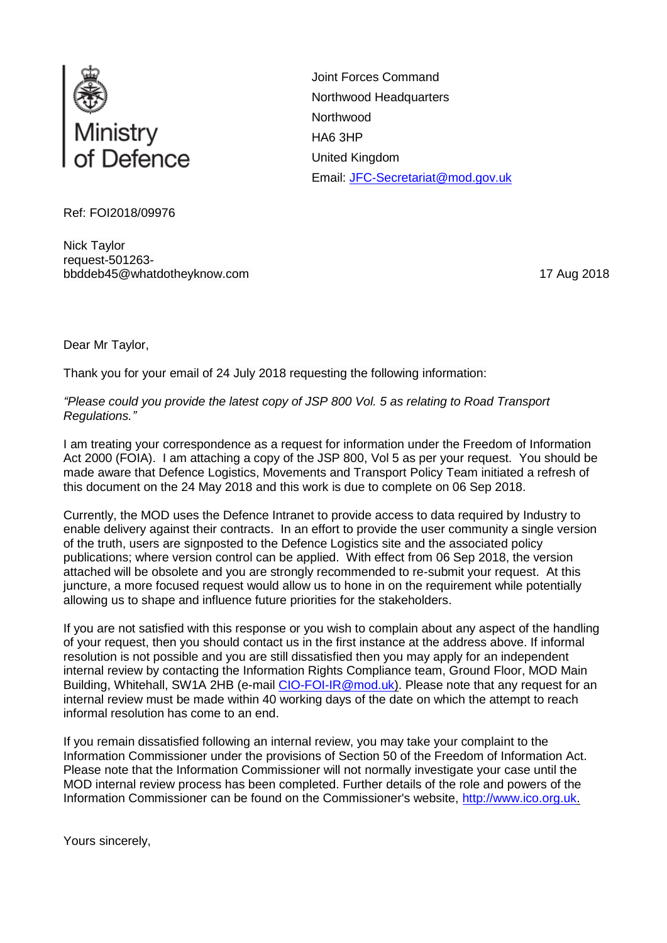

Joint Forces Command Northwood Headquarters **Northwood** HA6 3HP United Kingdom Email: [JFC-Secretariat@mod.gov.uk](mailto:xxxxxxxxxxxxxxx@xxx.xxx.xx)

Ref: FOI2018/09976

Nick Taylor request-501263 bbddeb45@whatdotheyknow.com 17 Aug 2018

Dear Mr Taylor,

Thank you for your email of 24 July 2018 requesting the following information:

*"Please could you provide the latest copy of JSP 800 Vol. 5 as relating to Road Transport Regulations."*

I am treating your correspondence as a request for information under the Freedom of Information Act 2000 (FOIA). I am attaching a copy of the JSP 800, Vol 5 as per your request. You should be made aware that Defence Logistics, Movements and Transport Policy Team initiated a refresh of this document on the 24 May 2018 and this work is due to complete on 06 Sep 2018.

Currently, the MOD uses the Defence Intranet to provide access to data required by Industry to enable delivery against their contracts. In an effort to provide the user community a single version of the truth, users are signposted to the Defence Logistics site and the associated policy publications; where version control can be applied. With effect from 06 Sep 2018, the version attached will be obsolete and you are strongly recommended to re-submit your request. At this juncture, a more focused request would allow us to hone in on the requirement while potentially allowing us to shape and influence future priorities for the stakeholders.

If you are not satisfied with this response or you wish to complain about any aspect of the handling of your request, then you should contact us in the first instance at the address above. If informal resolution is not possible and you are still dissatisfied then you may apply for an independent internal review by contacting the Information Rights Compliance team, Ground Floor, MOD Main Building, Whitehall, SW1A 2HB (e-mail [CIO-FOI-IR@mod.uk\)](mailto:xxxxxxxxxx@xxx.xx). Please note that any request for an internal review must be made within 40 working days of the date on which the attempt to reach informal resolution has come to an end.

If you remain dissatisfied following an internal review, you may take your complaint to the Information Commissioner under the provisions of Section 50 of the Freedom of Information Act. Please note that the Information Commissioner will not normally investigate your case until the MOD internal review process has been completed. Further details of the role and powers of the Information Commissioner can be found on the Commissioner's website, [http://www.ico.org.uk.](http://www.ico.org.uk/)

Yours sincerely,